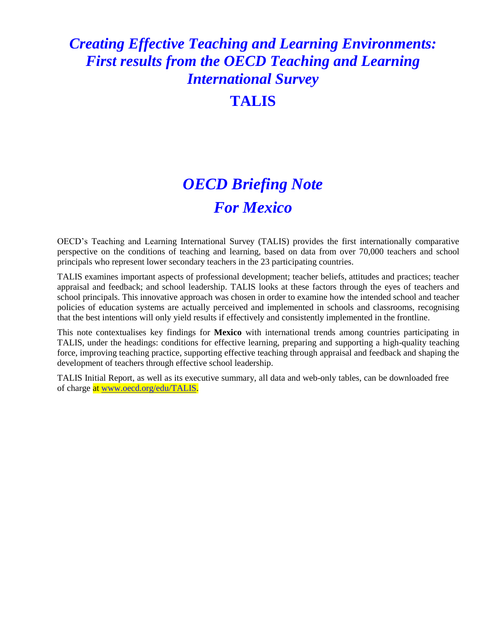# *Creating Effective Teaching and Learning Environments: First results from the OECD Teaching and Learning International Survey*

# **TALIS**

# *OECD Briefing Note For Mexico*

OECD's Teaching and Learning International Survey (TALIS) provides the first internationally comparative perspective on the conditions of teaching and learning, based on data from over 70,000 teachers and school principals who represent lower secondary teachers in the 23 participating countries.

TALIS examines important aspects of professional development; teacher beliefs, attitudes and practices; teacher appraisal and feedback; and school leadership. TALIS looks at these factors through the eyes of teachers and school principals. This innovative approach was chosen in order to examine how the intended school and teacher policies of education systems are actually perceived and implemented in schools and classrooms, recognising that the best intentions will only yield results if effectively and consistently implemented in the frontline.

This note contextualises key findings for **Mexico** with international trends among countries participating in TALIS, under the headings: conditions for effective learning, preparing and supporting a high-quality teaching force, improving teaching practice, supporting effective teaching through appraisal and feedback and shaping the development of teachers through effective school leadership.

TALIS Initial Report, as well as its executive summary, all data and web-only tables, can be downloaded free of charge at www.oecd.org/edu/TALIS.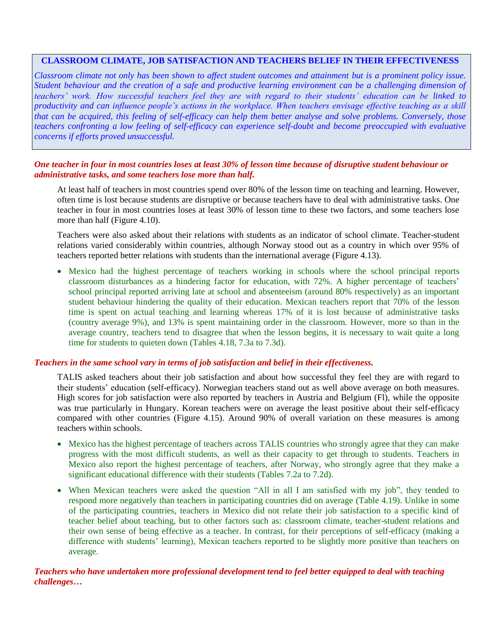# **CLASSROOM CLIMATE, JOB SATISFACTION AND TEACHERS BELIEF IN THEIR EFFECTIVENESS**

*Classroom climate not only has been shown to affect student outcomes and attainment but is a prominent policy issue. Student behaviour and the creation of a safe and productive learning environment can be a challenging dimension of teachers' work. How successful teachers feel they are with regard to their students' education can be linked to productivity and can influence people's actions in the workplace. When teachers envisage effective teaching as a skill that can be acquired, this feeling of self-efficacy can help them better analyse and solve problems. Conversely, those teachers confronting a low feeling of self-efficacy can experience self-doubt and become preoccupied with evaluative concerns if efforts proved unsuccessful.*

# *One teacher in four in most countries loses at least 30% of lesson time because of disruptive student behaviour or administrative tasks, and some teachers lose more than half.*

At least half of teachers in most countries spend over 80% of the lesson time on teaching and learning. However, often time is lost because students are disruptive or because teachers have to deal with administrative tasks. One teacher in four in most countries loses at least 30% of lesson time to these two factors, and some teachers lose more than half (Figure 4.10).

Teachers were also asked about their relations with students as an indicator of school climate. Teacher-student relations varied considerably within countries, although Norway stood out as a country in which over 95% of teachers reported better relations with students than the international average (Figure 4.13).

 Mexico had the highest percentage of teachers working in schools where the school principal reports classroom disturbances as a hindering factor for education, with 72%. A higher percentage of teachers' school principal reported arriving late at school and absenteeism (around 80% respectively) as an important student behaviour hindering the quality of their education. Mexican teachers report that 70% of the lesson time is spent on actual teaching and learning whereas 17% of it is lost because of administrative tasks (country average 9%), and 13% is spent maintaining order in the classroom. However, more so than in the average country, teachers tend to disagree that when the lesson begins, it is necessary to wait quite a long time for students to quieten down (Tables 4.18, 7.3a to 7.3d).

#### *Teachers in the same school vary in terms of job satisfaction and belief in their effectiveness.*

TALIS asked teachers about their job satisfaction and about how successful they feel they are with regard to their students' education (self-efficacy). Norwegian teachers stand out as well above average on both measures. High scores for job satisfaction were also reported by teachers in Austria and Belgium (Fl), while the opposite was true particularly in Hungary. Korean teachers were on average the least positive about their self-efficacy compared with other countries (Figure 4.15). Around 90% of overall variation on these measures is among teachers within schools.

- Mexico has the highest percentage of teachers across TALIS countries who strongly agree that they can make progress with the most difficult students, as well as their capacity to get through to students. Teachers in Mexico also report the highest percentage of teachers, after Norway, who strongly agree that they make a significant educational difference with their students (Tables 7.2a to 7.2d).
- When Mexican teachers were asked the question "All in all I am satisfied with my job", they tended to respond more negatively than teachers in participating countries did on average (Table 4.19). Unlike in some of the participating countries, teachers in Mexico did not relate their job satisfaction to a specific kind of teacher belief about teaching, but to other factors such as: classroom climate, teacher-student relations and their own sense of being effective as a teacher. In contrast, for their perceptions of self-efficacy (making a difference with students' learning), Mexican teachers reported to be slightly more positive than teachers on average.

## *Teachers who have undertaken more professional development tend to feel better equipped to deal with teaching challenges…*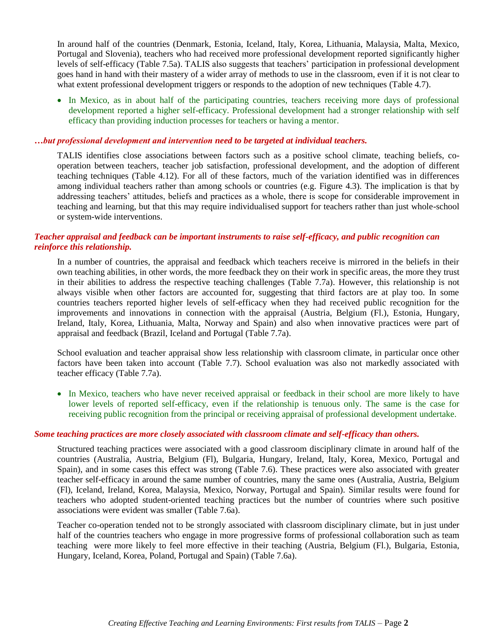In around half of the countries (Denmark, Estonia, Iceland, Italy, Korea, Lithuania, Malaysia, Malta, Mexico, Portugal and Slovenia), teachers who had received more professional development reported significantly higher levels of self-efficacy (Table 7.5a). TALIS also suggests that teachers' participation in professional development goes hand in hand with their mastery of a wider array of methods to use in the classroom, even if it is not clear to what extent professional development triggers or responds to the adoption of new techniques (Table 4.7).

• In Mexico, as in about half of the participating countries, teachers receiving more days of professional development reported a higher self-efficacy. Professional development had a stronger relationship with self efficacy than providing induction processes for teachers or having a mentor.

#### *…but professional development and intervention need to be targeted at individual teachers.*

TALIS identifies close associations between factors such as a positive school climate, teaching beliefs, cooperation between teachers, teacher job satisfaction, professional development, and the adoption of different teaching techniques (Table 4.12). For all of these factors, much of the variation identified was in differences among individual teachers rather than among schools or countries (e.g. Figure 4.3). The implication is that by addressing teachers' attitudes, beliefs and practices as a whole, there is scope for considerable improvement in teaching and learning, but that this may require individualised support for teachers rather than just whole-school or system-wide interventions.

# *Teacher appraisal and feedback can be important instruments to raise self-efficacy, and public recognition can reinforce this relationship.*

In a number of countries, the appraisal and feedback which teachers receive is mirrored in the beliefs in their own teaching abilities, in other words, the more feedback they on their work in specific areas, the more they trust in their abilities to address the respective teaching challenges (Table 7.7a). However, this relationship is not always visible when other factors are accounted for, suggesting that third factors are at play too. In some countries teachers reported higher levels of self-efficacy when they had received public recognition for the improvements and innovations in connection with the appraisal (Austria, Belgium (Fl.), Estonia, Hungary, Ireland, Italy, Korea, Lithuania, Malta, Norway and Spain) and also when innovative practices were part of appraisal and feedback (Brazil, Iceland and Portugal (Table 7.7a).

School evaluation and teacher appraisal show less relationship with classroom climate, in particular once other factors have been taken into account (Table 7.7). School evaluation was also not markedly associated with teacher efficacy (Table 7.7a).

• In Mexico, teachers who have never received appraisal or feedback in their school are more likely to have lower levels of reported self-efficacy, even if the relationship is tenuous only. The same is the case for receiving public recognition from the principal or receiving appraisal of professional development undertake.

#### *Some teaching practices are more closely associated with classroom climate and self-efficacy than others.*

Structured teaching practices were associated with a good classroom disciplinary climate in around half of the countries (Australia, Austria, Belgium (Fl), Bulgaria, Hungary, Ireland, Italy, Korea, Mexico, Portugal and Spain), and in some cases this effect was strong (Table 7.6). These practices were also associated with greater teacher self-efficacy in around the same number of countries, many the same ones (Australia, Austria, Belgium (Fl), Iceland, Ireland, Korea, Malaysia, Mexico, Norway, Portugal and Spain). Similar results were found for teachers who adopted student-oriented teaching practices but the number of countries where such positive associations were evident was smaller (Table 7.6a).

Teacher co-operation tended not to be strongly associated with classroom disciplinary climate, but in just under half of the countries teachers who engage in more progressive forms of professional collaboration such as team teaching were more likely to feel more effective in their teaching (Austria, Belgium (Fl.), Bulgaria, Estonia, Hungary, Iceland, Korea, Poland, Portugal and Spain) (Table 7.6a).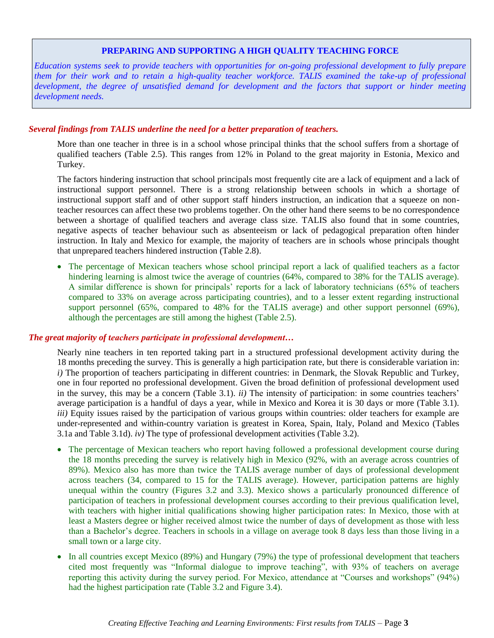# **PREPARING AND SUPPORTING A HIGH QUALITY TEACHING FORCE**

*Education systems seek to provide teachers with opportunities for on-going professional development to fully prepare them for their work and to retain a high-quality teacher workforce. TALIS examined the take-up of professional development, the degree of unsatisfied demand for development and the factors that support or hinder meeting development needs.*

#### *Several findings from TALIS underline the need for a better preparation of teachers.*

More than one teacher in three is in a school whose principal thinks that the school suffers from a shortage of qualified teachers (Table 2.5). This ranges from 12% in Poland to the great majority in Estonia, Mexico and Turkey.

The factors hindering instruction that school principals most frequently cite are a lack of equipment and a lack of instructional support personnel. There is a strong relationship between schools in which a shortage of instructional support staff and of other support staff hinders instruction, an indication that a squeeze on nonteacher resources can affect these two problems together. On the other hand there seems to be no correspondence between a shortage of qualified teachers and average class size. TALIS also found that in some countries, negative aspects of teacher behaviour such as absenteeism or lack of pedagogical preparation often hinder instruction. In Italy and Mexico for example, the majority of teachers are in schools whose principals thought that unprepared teachers hindered instruction (Table 2.8).

• The percentage of Mexican teachers whose school principal report a lack of qualified teachers as a factor hindering learning is almost twice the average of countries (64%, compared to 38% for the TALIS average). A similar difference is shown for principals' reports for a lack of laboratory technicians (65% of teachers compared to 33% on average across participating countries), and to a lesser extent regarding instructional support personnel (65%, compared to 48% for the TALIS average) and other support personnel (69%), although the percentages are still among the highest (Table 2.5).

## *The great majority of teachers participate in professional development…*

Nearly nine teachers in ten reported taking part in a structured professional development activity during the 18 months preceding the survey. This is generally a high participation rate, but there is considerable variation in: *i)* The proportion of teachers participating in different countries: in Denmark, the Slovak Republic and Turkey, one in four reported no professional development. Given the broad definition of professional development used in the survey, this may be a concern (Table 3.1). *ii)* The intensity of participation: in some countries teachers' average participation is a handful of days a year, while in Mexico and Korea it is 30 days or more (Table 3.1). *iii)* Equity issues raised by the participation of various groups within countries: older teachers for example are under-represented and within-country variation is greatest in Korea, Spain, Italy, Poland and Mexico (Tables 3.1a and Table 3.1d). *iv)* The type of professional development activities (Table 3.2).

- The percentage of Mexican teachers who report having followed a professional development course during the 18 months preceding the survey is relatively high in Mexico (92%, with an average across countries of 89%). Mexico also has more than twice the TALIS average number of days of professional development across teachers (34, compared to 15 for the TALIS average). However, participation patterns are highly unequal within the country (Figures 3.2 and 3.3). Mexico shows a particularly pronounced difference of participation of teachers in professional development courses according to their previous qualification level, with teachers with higher initial qualifications showing higher participation rates: In Mexico, those with at least a Masters degree or higher received almost twice the number of days of development as those with less than a Bachelor's degree. Teachers in schools in a village on average took 8 days less than those living in a small town or a large city.
- In all countries except Mexico (89%) and Hungary (79%) the type of professional development that teachers cited most frequently was "Informal dialogue to improve teaching", with 93% of teachers on average reporting this activity during the survey period. For Mexico, attendance at "Courses and workshops" (94%) had the highest participation rate (Table 3.2 and Figure 3.4).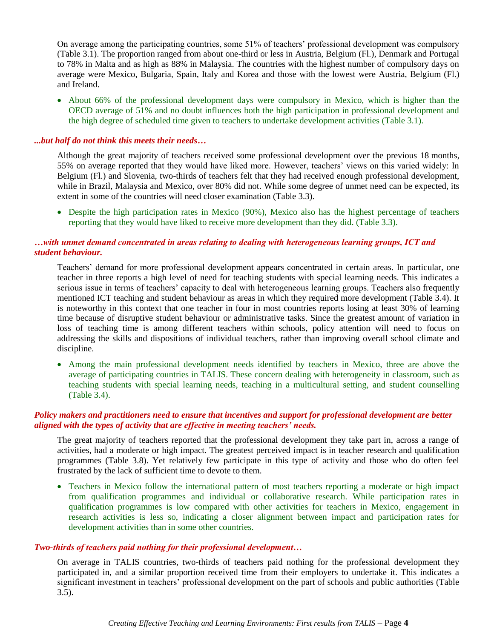On average among the participating countries, some 51% of teachers' professional development was compulsory (Table 3.1). The proportion ranged from about one-third or less in Austria, Belgium (Fl.), Denmark and Portugal to 78% in Malta and as high as 88% in Malaysia. The countries with the highest number of compulsory days on average were Mexico, Bulgaria, Spain, Italy and Korea and those with the lowest were Austria, Belgium (Fl.) and Ireland.

• About 66% of the professional development days were compulsory in Mexico, which is higher than the OECD average of 51% and no doubt influences both the high participation in professional development and the high degree of scheduled time given to teachers to undertake development activities (Table 3.1).

#### *...but half do not think this meets their needs…*

Although the great majority of teachers received some professional development over the previous 18 months, 55% on average reported that they would have liked more. However, teachers' views on this varied widely: In Belgium (Fl.) and Slovenia, two-thirds of teachers felt that they had received enough professional development, while in Brazil, Malaysia and Mexico, over 80% did not. While some degree of unmet need can be expected, its extent in some of the countries will need closer examination (Table 3.3).

 Despite the high participation rates in Mexico (90%), Mexico also has the highest percentage of teachers reporting that they would have liked to receive more development than they did. (Table 3.3).

## *…with unmet demand concentrated in areas relating to dealing with heterogeneous learning groups, ICT and student behaviour.*

Teachers' demand for more professional development appears concentrated in certain areas. In particular, one teacher in three reports a high level of need for teaching students with special learning needs. This indicates a serious issue in terms of teachers' capacity to deal with heterogeneous learning groups. Teachers also frequently mentioned ICT teaching and student behaviour as areas in which they required more development (Table 3.4). It is noteworthy in this context that one teacher in four in most countries reports losing at least 30% of learning time because of disruptive student behaviour or administrative tasks. Since the greatest amount of variation in loss of teaching time is among different teachers within schools, policy attention will need to focus on addressing the skills and dispositions of individual teachers, rather than improving overall school climate and discipline.

 Among the main professional development needs identified by teachers in Mexico, three are above the average of participating countries in TALIS. These concern dealing with heterogeneity in classroom, such as teaching students with special learning needs, teaching in a multicultural setting, and student counselling (Table 3.4).

#### *Policy makers and practitioners need to ensure that incentives and support for professional development are better aligned with the types of activity that are effective in meeting teachers' needs.*

The great majority of teachers reported that the professional development they take part in, across a range of activities, had a moderate or high impact. The greatest perceived impact is in teacher research and qualification programmes (Table 3.8). Yet relatively few participate in this type of activity and those who do often feel frustrated by the lack of sufficient time to devote to them.

• Teachers in Mexico follow the international pattern of most teachers reporting a moderate or high impact from qualification programmes and individual or collaborative research. While participation rates in qualification programmes is low compared with other activities for teachers in Mexico, engagement in research activities is less so, indicating a closer alignment between impact and participation rates for development activities than in some other countries.

#### *Two-thirds of teachers paid nothing for their professional development…*

On average in TALIS countries, two-thirds of teachers paid nothing for the professional development they participated in, and a similar proportion received time from their employers to undertake it. This indicates a significant investment in teachers' professional development on the part of schools and public authorities (Table 3.5).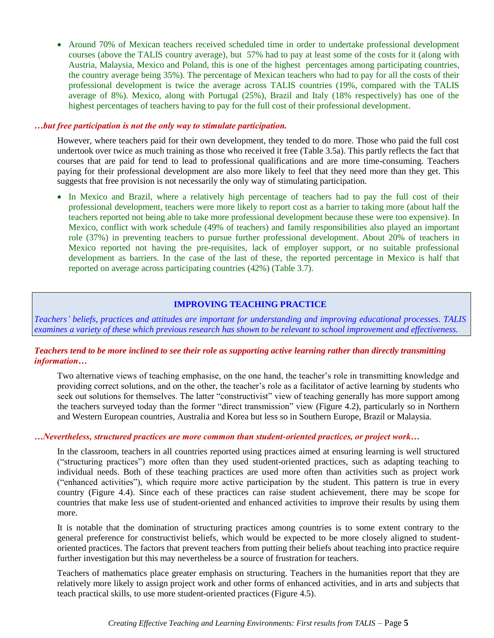• Around 70% of Mexican teachers received scheduled time in order to undertake professional development courses (above the TALIS country average), but 57% had to pay at least some of the costs for it (along with Austria, Malaysia, Mexico and Poland, this is one of the highest percentages among participating countries, the country average being 35%). The percentage of Mexican teachers who had to pay for all the costs of their professional development is twice the average across TALIS countries (19%, compared with the TALIS average of 8%). Mexico, along with Portugal (25%), Brazil and Italy (18% respectively) has one of the highest percentages of teachers having to pay for the full cost of their professional development.

#### *…but free participation is not the only way to stimulate participation.*

However, where teachers paid for their own development, they tended to do more. Those who paid the full cost undertook over twice as much training as those who received it free (Table 3.5a). This partly reflects the fact that courses that are paid for tend to lead to professional qualifications and are more time-consuming. Teachers paying for their professional development are also more likely to feel that they need more than they get. This suggests that free provision is not necessarily the only way of stimulating participation.

 In Mexico and Brazil, where a relatively high percentage of teachers had to pay the full cost of their professional development, teachers were more likely to report cost as a barrier to taking more (about half the teachers reported not being able to take more professional development because these were too expensive). In Mexico, conflict with work schedule (49% of teachers) and family responsibilities also played an important role (37%) in preventing teachers to pursue further professional development. About 20% of teachers in Mexico reported not having the pre-requisites, lack of employer support, or no suitable professional development as barriers. In the case of the last of these, the reported percentage in Mexico is half that reported on average across participating countries (42%) (Table 3.7).

# **IMPROVING TEACHING PRACTICE**

*Teachers' beliefs, practices and attitudes are important for understanding and improving educational processes. TALIS examines a variety of these which previous research has shown to be relevant to school improvement and effectiveness.* 

#### *Teachers tend to be more inclined to see their role as supporting active learning rather than directly transmitting information…*

Two alternative views of teaching emphasise, on the one hand, the teacher's role in transmitting knowledge and providing correct solutions, and on the other, the teacher's role as a facilitator of active learning by students who seek out solutions for themselves. The latter "constructivist" view of teaching generally has more support among the teachers surveyed today than the former "direct transmission" view (Figure 4.2), particularly so in Northern and Western European countries, Australia and Korea but less so in Southern Europe, Brazil or Malaysia.

# *…Nevertheless, structured practices are more common than student-oriented practices, or project work…*

In the classroom, teachers in all countries reported using practices aimed at ensuring learning is well structured ("structuring practices") more often than they used student-oriented practices, such as adapting teaching to individual needs. Both of these teaching practices are used more often than activities such as project work ("enhanced activities"), which require more active participation by the student. This pattern is true in every country (Figure 4.4). Since each of these practices can raise student achievement, there may be scope for countries that make less use of student-oriented and enhanced activities to improve their results by using them more.

It is notable that the domination of structuring practices among countries is to some extent contrary to the general preference for constructivist beliefs, which would be expected to be more closely aligned to studentoriented practices. The factors that prevent teachers from putting their beliefs about teaching into practice require further investigation but this may nevertheless be a source of frustration for teachers.

Teachers of mathematics place greater emphasis on structuring. Teachers in the humanities report that they are relatively more likely to assign project work and other forms of enhanced activities, and in arts and subjects that teach practical skills, to use more student-oriented practices (Figure 4.5).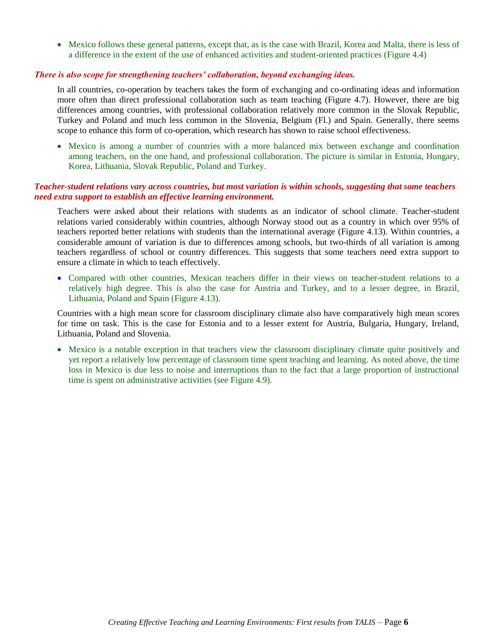Mexico follows these general patterns, except that, as is the case with Brazil, Korea and Malta, there is less of a difference in the extent of the use of enhanced activities and student-oriented practices (Figure 4.4)

# *There is also scope for strengthening teachers' collaboration, beyond exchanging ideas.*

In all countries, co-operation by teachers takes the form of exchanging and co-ordinating ideas and information more often than direct professional collaboration such as team teaching (Figure 4.7). However, there are big differences among countries, with professional collaboration relatively more common in the Slovak Republic, Turkey and Poland and much less common in the Slovenia, Belgium (Fl.) and Spain. Generally, there seems scope to enhance this form of co-operation, which research has shown to raise school effectiveness.

 Mexico is among a number of countries with a more balanced mix between exchange and coordination among teachers, on the one hand, and professional collaboration. The picture is similar in Estonia, Hungary, Korea, Lithuania, Slovak Republic, Poland and Turkey.

# *Teacher-student relations vary across countries, but most variation is within schools, suggesting that some teachers need extra support to establish an effective learning environment.*

Teachers were asked about their relations with students as an indicator of school climate. Teacher-student relations varied considerably within countries, although Norway stood out as a country in which over 95% of teachers reported better relations with students than the international average (Figure 4.13). Within countries, a considerable amount of variation is due to differences among schools, but two-thirds of all variation is among teachers regardless of school or country differences. This suggests that some teachers need extra support to ensure a climate in which to teach effectively.

 Compared with other countries, Mexican teachers differ in their views on teacher-student relations to a relatively high degree. This is also the case for Austria and Turkey, and to a lesser degree, in Brazil, Lithuania, Poland and Spain (Figure 4.13).

Countries with a high mean score for classroom disciplinary climate also have comparatively high mean scores for time on task. This is the case for Estonia and to a lesser extent for Austria, Bulgaria, Hungary, Ireland, Lithuania, Poland and Slovenia.

 Mexico is a notable exception in that teachers view the classroom disciplinary climate quite positively and yet report a relatively low percentage of classroom time spent teaching and learning. As noted above, the time loss in Mexico is due less to noise and interruptions than to the fact that a large proportion of instructional time is spent on administrative activities (see Figure 4.9).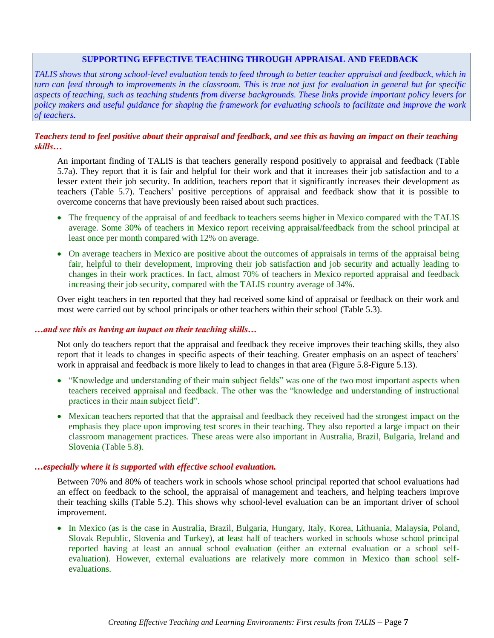## **SUPPORTING EFFECTIVE TEACHING THROUGH APPRAISAL AND FEEDBACK**

*TALIS shows that strong school-level evaluation tends to feed through to better teacher appraisal and feedback, which in turn can feed through to improvements in the classroom. This is true not just for evaluation in general but for specific aspects of teaching, such as teaching students from diverse backgrounds. These links provide important policy levers for policy makers and useful guidance for shaping the framework for evaluating schools to facilitate and improve the work of teachers.*

# *Teachers tend to feel positive about their appraisal and feedback, and see this as having an impact on their teaching skills…*

An important finding of TALIS is that teachers generally respond positively to appraisal and feedback (Table 5.7a). They report that it is fair and helpful for their work and that it increases their job satisfaction and to a lesser extent their job security. In addition, teachers report that it significantly increases their development as teachers (Table 5.7). Teachers' positive perceptions of appraisal and feedback show that it is possible to overcome concerns that have previously been raised about such practices.

- The frequency of the appraisal of and feedback to teachers seems higher in Mexico compared with the TALIS average. Some 30% of teachers in Mexico report receiving appraisal/feedback from the school principal at least once per month compared with 12% on average.
- On average teachers in Mexico are positive about the outcomes of appraisals in terms of the appraisal being fair, helpful to their development, improving their job satisfaction and job security and actually leading to changes in their work practices. In fact, almost 70% of teachers in Mexico reported appraisal and feedback increasing their job security, compared with the TALIS country average of 34%.

Over eight teachers in ten reported that they had received some kind of appraisal or feedback on their work and most were carried out by school principals or other teachers within their school (Table 5.3).

#### *…and see this as having an impact on their teaching skills…*

Not only do teachers report that the appraisal and feedback they receive improves their teaching skills, they also report that it leads to changes in specific aspects of their teaching. Greater emphasis on an aspect of teachers' work in appraisal and feedback is more likely to lead to changes in that area (Figure 5.8-Figure 5.13).

- "Knowledge and understanding of their main subject fields" was one of the two most important aspects when teachers received appraisal and feedback. The other was the "knowledge and understanding of instructional practices in their main subject field".
- Mexican teachers reported that that the appraisal and feedback they received had the strongest impact on the emphasis they place upon improving test scores in their teaching. They also reported a large impact on their classroom management practices. These areas were also important in Australia, Brazil, Bulgaria, Ireland and Slovenia (Table 5.8).

#### *…especially where it is supported with effective school evaluation.*

Between 70% and 80% of teachers work in schools whose school principal reported that school evaluations had an effect on feedback to the school, the appraisal of management and teachers, and helping teachers improve their teaching skills (Table 5.2). This shows why school-level evaluation can be an important driver of school improvement.

 In Mexico (as is the case in Australia, Brazil, Bulgaria, Hungary, Italy, Korea, Lithuania, Malaysia, Poland, Slovak Republic, Slovenia and Turkey), at least half of teachers worked in schools whose school principal reported having at least an annual school evaluation (either an external evaluation or a school selfevaluation). However, external evaluations are relatively more common in Mexico than school selfevaluations.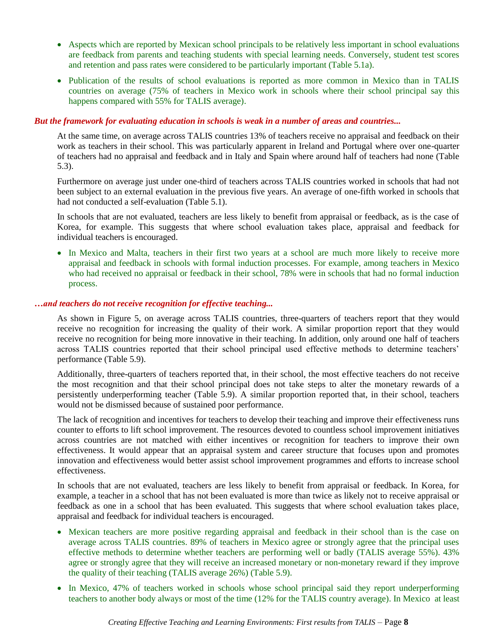- Aspects which are reported by Mexican school principals to be relatively less important in school evaluations are feedback from parents and teaching students with special learning needs. Conversely, student test scores and retention and pass rates were considered to be particularly important (Table 5.1a).
- Publication of the results of school evaluations is reported as more common in Mexico than in TALIS countries on average (75% of teachers in Mexico work in schools where their school principal say this happens compared with 55% for TALIS average).

#### *But the framework for evaluating education in schools is weak in a number of areas and countries...*

At the same time, on average across TALIS countries 13% of teachers receive no appraisal and feedback on their work as teachers in their school. This was particularly apparent in Ireland and Portugal where over one-quarter of teachers had no appraisal and feedback and in Italy and Spain where around half of teachers had none (Table 5.3).

Furthermore on average just under one-third of teachers across TALIS countries worked in schools that had not been subject to an external evaluation in the previous five years. An average of one-fifth worked in schools that had not conducted a self-evaluation (Table 5.1).

In schools that are not evaluated, teachers are less likely to benefit from appraisal or feedback, as is the case of Korea, for example. This suggests that where school evaluation takes place, appraisal and feedback for individual teachers is encouraged.

• In Mexico and Malta, teachers in their first two years at a school are much more likely to receive more appraisal and feedback in schools with formal induction processes. For example, among teachers in Mexico who had received no appraisal or feedback in their school, 78% were in schools that had no formal induction process.

#### *…and teachers do not receive recognition for effective teaching...*

As shown in Figure 5, on average across TALIS countries, three-quarters of teachers report that they would receive no recognition for increasing the quality of their work. A similar proportion report that they would receive no recognition for being more innovative in their teaching. In addition, only around one half of teachers across TALIS countries reported that their school principal used effective methods to determine teachers' performance (Table 5.9).

Additionally, three-quarters of teachers reported that, in their school, the most effective teachers do not receive the most recognition and that their school principal does not take steps to alter the monetary rewards of a persistently underperforming teacher (Table 5.9). A similar proportion reported that, in their school, teachers would not be dismissed because of sustained poor performance.

The lack of recognition and incentives for teachers to develop their teaching and improve their effectiveness runs counter to efforts to lift school improvement. The resources devoted to countless school improvement initiatives across countries are not matched with either incentives or recognition for teachers to improve their own effectiveness. It would appear that an appraisal system and career structure that focuses upon and promotes innovation and effectiveness would better assist school improvement programmes and efforts to increase school effectiveness.

In schools that are not evaluated, teachers are less likely to benefit from appraisal or feedback. In Korea, for example, a teacher in a school that has not been evaluated is more than twice as likely not to receive appraisal or feedback as one in a school that has been evaluated. This suggests that where school evaluation takes place, appraisal and feedback for individual teachers is encouraged.

- Mexican teachers are more positive regarding appraisal and feedback in their school than is the case on average across TALIS countries. 89% of teachers in Mexico agree or strongly agree that the principal uses effective methods to determine whether teachers are performing well or badly (TALIS average 55%). 43% agree or strongly agree that they will receive an increased monetary or non-monetary reward if they improve the quality of their teaching (TALIS average 26%) (Table 5.9).
- In Mexico, 47% of teachers worked in schools whose school principal said they report underperforming teachers to another body always or most of the time (12% for the TALIS country average). In Mexico at least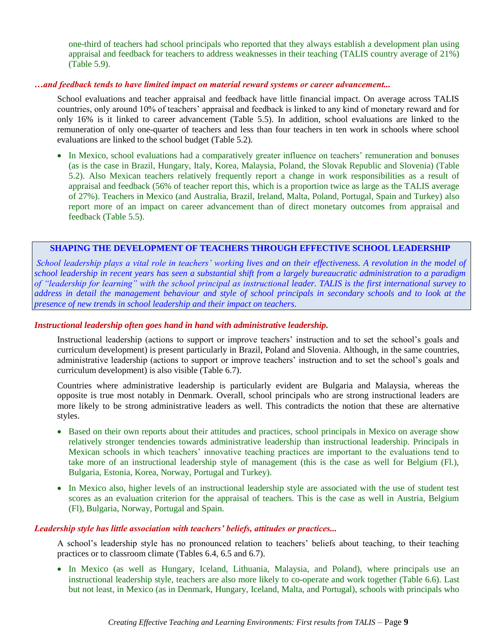one-third of teachers had school principals who reported that they always establish a development plan using appraisal and feedback for teachers to address weaknesses in their teaching (TALIS country average of 21%) (Table 5.9).

#### *…and feedback tends to have limited impact on material reward systems or career advancement...*

School evaluations and teacher appraisal and feedback have little financial impact. On average across TALIS countries, only around 10% of teachers' appraisal and feedback is linked to any kind of monetary reward and for only 16% is it linked to career advancement (Table 5.5). In addition, school evaluations are linked to the remuneration of only one-quarter of teachers and less than four teachers in ten work in schools where school evaluations are linked to the school budget (Table 5.2).

• In Mexico, school evaluations had a comparatively greater influence on teachers' remuneration and bonuses (as is the case in Brazil, Hungary, Italy, Korea, Malaysia, Poland, the Slovak Republic and Slovenia) (Table 5.2). Also Mexican teachers relatively frequently report a change in work responsibilities as a result of appraisal and feedback (56% of teacher report this, which is a proportion twice as large as the TALIS average of 27%). Teachers in Mexico (and Australia, Brazil, Ireland, Malta, Poland, Portugal, Spain and Turkey) also report more of an impact on career advancement than of direct monetary outcomes from appraisal and feedback (Table 5.5).

# **SHAPING THE DEVELOPMENT OF TEACHERS THROUGH EFFECTIVE SCHOOL LEADERSHIP**

*School leadership plays a vital role in teachers' working lives and on their effectiveness. A revolution in the model of school leadership in recent years has seen a substantial shift from a largely bureaucratic administration to a paradigm of "leadership for learning" with the school principal as instructional leader. TALIS is the first international survey to address in detail the management behaviour and style of school principals in secondary schools and to look at the presence of new trends in school leadership and their impact on teachers.*

#### *Instructional leadership often goes hand in hand with administrative leadership.*

Instructional leadership (actions to support or improve teachers' instruction and to set the school's goals and curriculum development) is present particularly in Brazil, Poland and Slovenia. Although, in the same countries, administrative leadership (actions to support or improve teachers' instruction and to set the school's goals and curriculum development) is also visible (Table 6.7).

Countries where administrative leadership is particularly evident are Bulgaria and Malaysia, whereas the opposite is true most notably in Denmark. Overall, school principals who are strong instructional leaders are more likely to be strong administrative leaders as well. This contradicts the notion that these are alternative styles.

- Based on their own reports about their attitudes and practices, school principals in Mexico on average show relatively stronger tendencies towards administrative leadership than instructional leadership. Principals in Mexican schools in which teachers' innovative teaching practices are important to the evaluations tend to take more of an instructional leadership style of management (this is the case as well for Belgium (Fl.), Bulgaria, Estonia, Korea, Norway, Portugal and Turkey).
- In Mexico also, higher levels of an instructional leadership style are associated with the use of student test scores as an evaluation criterion for the appraisal of teachers. This is the case as well in Austria, Belgium (Fl), Bulgaria, Norway, Portugal and Spain.

#### *Leadership style has little association with teachers' beliefs, attitudes or practices...*

A school's leadership style has no pronounced relation to teachers' beliefs about teaching, to their teaching practices or to classroom climate (Tables 6.4, 6.5 and 6.7).

 In Mexico (as well as Hungary, Iceland, Lithuania, Malaysia, and Poland), where principals use an instructional leadership style, teachers are also more likely to co-operate and work together (Table 6.6). Last but not least, in Mexico (as in Denmark, Hungary, Iceland, Malta, and Portugal), schools with principals who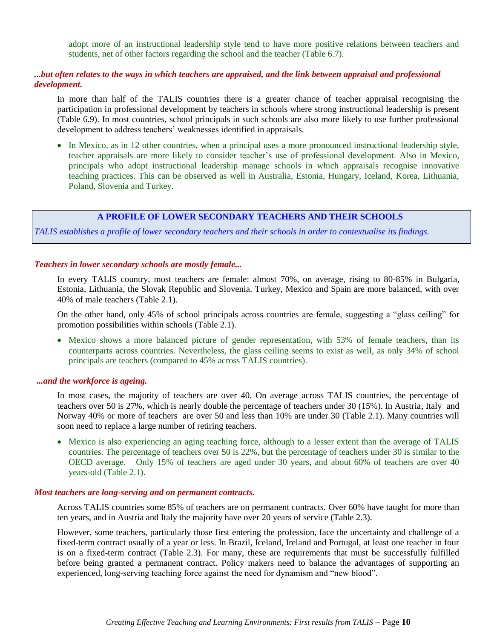adopt more of an instructional leadership style tend to have more positive relations between teachers and students, net of other factors regarding the school and the teacher (Table 6.7).

# *...but often relates to the ways in which teachers are appraised, and the link between appraisal and professional development.*

In more than half of the TALIS countries there is a greater chance of teacher appraisal recognising the participation in professional development by teachers in schools where strong instructional leadership is present (Table 6.9). In most countries, school principals in such schools are also more likely to use further professional development to address teachers' weaknesses identified in appraisals.

 In Mexico, as in 12 other countries, when a principal uses a more pronounced instructional leadership style, teacher appraisals are more likely to consider teacher's use of professional development. Also in Mexico, principals who adopt instructional leadership manage schools in which appraisals recognise innovative teaching practices. This can be observed as well in Australia, Estonia, Hungary, Iceland, Korea, Lithuania, Poland, Slovenia and Turkey.

# **A PROFILE OF LOWER SECONDARY TEACHERS AND THEIR SCHOOLS**

*TALIS establishes a profile of lower secondary teachers and their schools in order to contextualise its findings.*

#### *Teachers in lower secondary schools are mostly female...*

In every TALIS country, most teachers are female: almost 70%, on average, rising to 80-85% in Bulgaria, Estonia, Lithuania, the Slovak Republic and Slovenia. Turkey, Mexico and Spain are more balanced, with over 40% of male teachers (Table 2.1).

On the other hand, only 45% of school principals across countries are female, suggesting a "glass ceiling" for promotion possibilities within schools (Table 2.1).

 Mexico shows a more balanced picture of gender representation, with 53% of female teachers, than its counterparts across countries. Nevertheless, the glass ceiling seems to exist as well, as only 34% of school principals are teachers (compared to 45% across TALIS countries).

#### *...and the workforce is ageing.*

In most cases, the majority of teachers are over 40. On average across TALIS countries, the percentage of teachers over 50 is 27%, which is nearly double the percentage of teachers under 30 (15%). In Austria, Italy and Norway 40% or more of teachers are over 50 and less than 10% are under 30 (Table 2.1). Many countries will soon need to replace a large number of retiring teachers.

 Mexico is also experiencing an aging teaching force, although to a lesser extent than the average of TALIS countries. The percentage of teachers over 50 is 22%, but the percentage of teachers under 30 is similar to the OECD average. Only 15% of teachers are aged under 30 years, and about 60% of teachers are over 40 years-old (Table 2.1).

#### *Most teachers are long-serving and on permanent contracts.*

Across TALIS countries some 85% of teachers are on permanent contracts. Over 60% have taught for more than ten years, and in Austria and Italy the majority have over 20 years of service (Table 2.3).

However, some teachers, particularly those first entering the profession, face the uncertainty and challenge of a fixed-term contract usually of a year or less. In Brazil, Iceland, Ireland and Portugal, at least one teacher in four is on a fixed-term contract (Table 2.3). For many, these are requirements that must be successfully fulfilled before being granted a permanent contract. Policy makers need to balance the advantages of supporting an experienced, long-serving teaching force against the need for dynamism and "new blood".